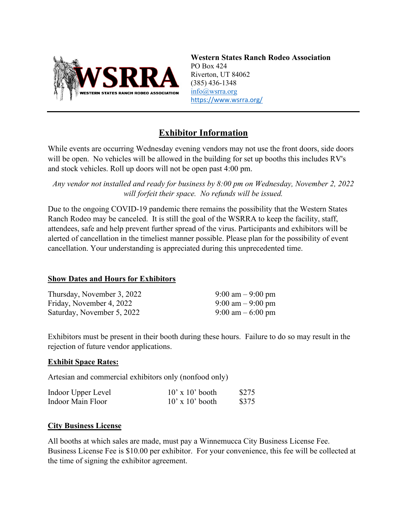

**Western States Ranch Rodeo Association** PO Box 424 Riverton, UT 84062 (385) 436-1348 [info@wsrra.org](mailto:info@wsrra.org) <https://www.wsrra.org/>

# **Exhibitor Information**

While events are occurring Wednesday evening vendors may not use the front doors, side doors will be open. No vehicles will be allowed in the building for set up booths this includes RV's and stock vehicles. Roll up doors will not be open past 4:00 pm.

*Any vendor not installed and ready for business by 8:00 pm on Wednesday, November 2, 2022 will forfeit their space. No refunds will be issued.*

Due to the ongoing COVID-19 pandemic there remains the possibility that the Western States Ranch Rodeo may be canceled. It is still the goal of the WSRRA to keep the facility, staff, attendees, safe and help prevent further spread of the virus. Participants and exhibitors will be alerted of cancellation in the timeliest manner possible. Please plan for the possibility of event cancellation. Your understanding is appreciated during this unprecedented time.

#### **Show Dates and Hours for Exhibitors**

| Thursday, November 3, 2022 | $9:00 \text{ am} - 9:00 \text{ pm}$ |
|----------------------------|-------------------------------------|
| Friday, November 4, 2022   | $9:00 \text{ am} - 9:00 \text{ pm}$ |
| Saturday, November 5, 2022 | 9:00 am $-6:00$ pm                  |

Exhibitors must be present in their booth during these hours. Failure to do so may result in the rejection of future vendor applications.

#### **Exhibit Space Rates:**

Artesian and commercial exhibitors only (nonfood only)

| Indoor Upper Level | $10'$ x $10'$ booth | \$275 |
|--------------------|---------------------|-------|
| Indoor Main Floor  | $10'$ x $10'$ booth | \$375 |

#### **City Business License**

All booths at which sales are made, must pay a Winnemucca City Business License Fee. Business License Fee is \$10.00 per exhibitor. For your convenience, this fee will be collected at the time of signing the exhibitor agreement.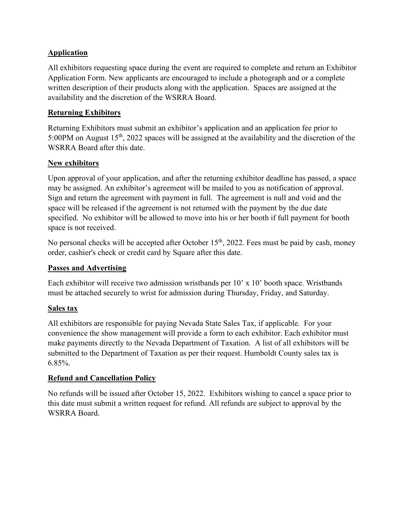## **Application**

All exhibitors requesting space during the event are required to complete and return an Exhibitor Application Form. New applicants are encouraged to include a photograph and or a complete written description of their products along with the application. Spaces are assigned at the availability and the discretion of the WSRRA Board.

#### **Returning Exhibitors**

Returning Exhibitors must submit an exhibitor's application and an application fee prior to 5:00PM on August  $15<sup>th</sup>$ , 2022 spaces will be assigned at the availability and the discretion of the WSRRA Board after this date.

## **New exhibitors**

Upon approval of your application, and after the returning exhibitor deadline has passed, a space may be assigned. An exhibitor's agreement will be mailed to you as notification of approval. Sign and return the agreement with payment in full. The agreement is null and void and the space will be released if the agreement is not returned with the payment by the due date specified. No exhibitor will be allowed to move into his or her booth if full payment for booth space is not received.

No personal checks will be accepted after October  $15<sup>th</sup>$ , 2022. Fees must be paid by cash, money order, cashier's check or credit card by Square after this date.

#### **Passes and Advertising**

Each exhibitor will receive two admission wristbands per 10' x 10' booth space. Wristbands must be attached securely to wrist for admission during Thursday, Friday, and Saturday.

#### **Sales tax**

All exhibitors are responsible for paying Nevada State Sales Tax, if applicable. For your convenience the show management will provide a form to each exhibitor. Each exhibitor must make payments directly to the Nevada Department of Taxation. A list of all exhibitors will be submitted to the Department of Taxation as per their request. Humboldt County sales tax is 6.85%.

#### **Refund and Cancellation Policy**

No refunds will be issued after October 15, 2022. Exhibitors wishing to cancel a space prior to this date must submit a written request for refund. All refunds are subject to approval by the WSRRA Board.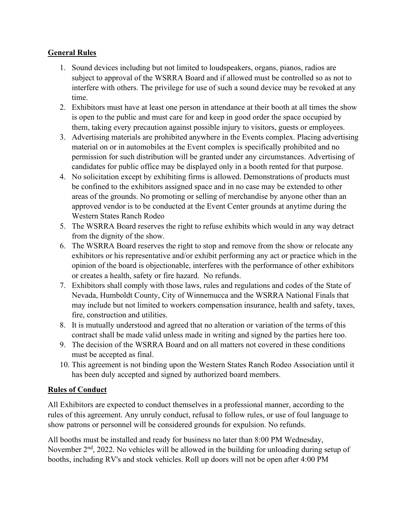## **General Rules**

- 1. Sound devices including but not limited to loudspeakers, organs, pianos, radios are subject to approval of the WSRRA Board and if allowed must be controlled so as not to interfere with others. The privilege for use of such a sound device may be revoked at any time.
- 2. Exhibitors must have at least one person in attendance at their booth at all times the show is open to the public and must care for and keep in good order the space occupied by them, taking every precaution against possible injury to visitors, guests or employees.
- 3. Advertising materials are prohibited anywhere in the Events complex. Placing advertising material on or in automobiles at the Event complex is specifically prohibited and no permission for such distribution will be granted under any circumstances. Advertising of candidates for public office may be displayed only in a booth rented for that purpose.
- 4. No solicitation except by exhibiting firms is allowed. Demonstrations of products must be confined to the exhibitors assigned space and in no case may be extended to other areas of the grounds. No promoting or selling of merchandise by anyone other than an approved vendor is to be conducted at the Event Center grounds at anytime during the Western States Ranch Rodeo
- 5. The WSRRA Board reserves the right to refuse exhibits which would in any way detract from the dignity of the show.
- 6. The WSRRA Board reserves the right to stop and remove from the show or relocate any exhibitors or his representative and/or exhibit performing any act or practice which in the opinion of the board is objectionable, interferes with the performance of other exhibitors or creates a health, safety or fire hazard. No refunds.
- 7. Exhibitors shall comply with those laws, rules and regulations and codes of the State of Nevada, Humboldt County, City of Winnemucca and the WSRRA National Finals that may include but not limited to workers compensation insurance, health and safety, taxes, fire, construction and utilities.
- 8. It is mutually understood and agreed that no alteration or variation of the terms of this contract shall be made valid unless made in writing and signed by the parties here too.
- 9. The decision of the WSRRA Board and on all matters not covered in these conditions must be accepted as final.
- 10. This agreement is not binding upon the Western States Ranch Rodeo Association until it has been duly accepted and signed by authorized board members.

# **Rules of Conduct**

All Exhibitors are expected to conduct themselves in a professional manner, according to the rules of this agreement. Any unruly conduct, refusal to follow rules, or use of foul language to show patrons or personnel will be considered grounds for expulsion. No refunds.

All booths must be installed and ready for business no later than 8:00 PM Wednesday, November  $2<sup>nd</sup>$ , 2022. No vehicles will be allowed in the building for unloading during setup of booths, including RV's and stock vehicles. Roll up doors will not be open after 4:00 PM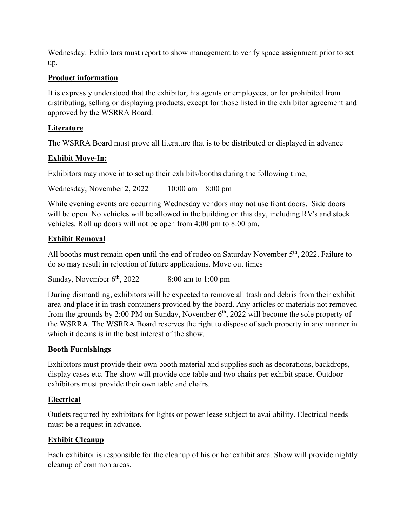Wednesday. Exhibitors must report to show management to verify space assignment prior to set up.

## **Product information**

It is expressly understood that the exhibitor, his agents or employees, or for prohibited from distributing, selling or displaying products, except for those listed in the exhibitor agreement and approved by the WSRRA Board.

## **Literature**

The WSRRA Board must prove all literature that is to be distributed or displayed in advance

## **Exhibit Move-In:**

Exhibitors may move in to set up their exhibits/booths during the following time;

Wednesday, November 2, 2022 10:00 am – 8:00 pm

While evening events are occurring Wednesday vendors may not use front doors. Side doors will be open. No vehicles will be allowed in the building on this day, including RV's and stock vehicles. Roll up doors will not be open from 4:00 pm to 8:00 pm.

## **Exhibit Removal**

All booths must remain open until the end of rodeo on Saturday November 5<sup>th</sup>, 2022. Failure to do so may result in rejection of future applications. Move out times

Sunday, November  $6<sup>th</sup>$ , 2022 8:00 am to 1:00 pm

During dismantling, exhibitors will be expected to remove all trash and debris from their exhibit area and place it in trash containers provided by the board. Any articles or materials not removed from the grounds by 2:00 PM on Sunday, November  $6<sup>th</sup>$ , 2022 will become the sole property of the WSRRA. The WSRRA Board reserves the right to dispose of such property in any manner in which it deems is in the best interest of the show.

#### **Booth Furnishings**

Exhibitors must provide their own booth material and supplies such as decorations, backdrops, display cases etc. The show will provide one table and two chairs per exhibit space. Outdoor exhibitors must provide their own table and chairs.

# **Electrical**

Outlets required by exhibitors for lights or power lease subject to availability. Electrical needs must be a request in advance.

#### **Exhibit Cleanup**

Each exhibitor is responsible for the cleanup of his or her exhibit area. Show will provide nightly cleanup of common areas.